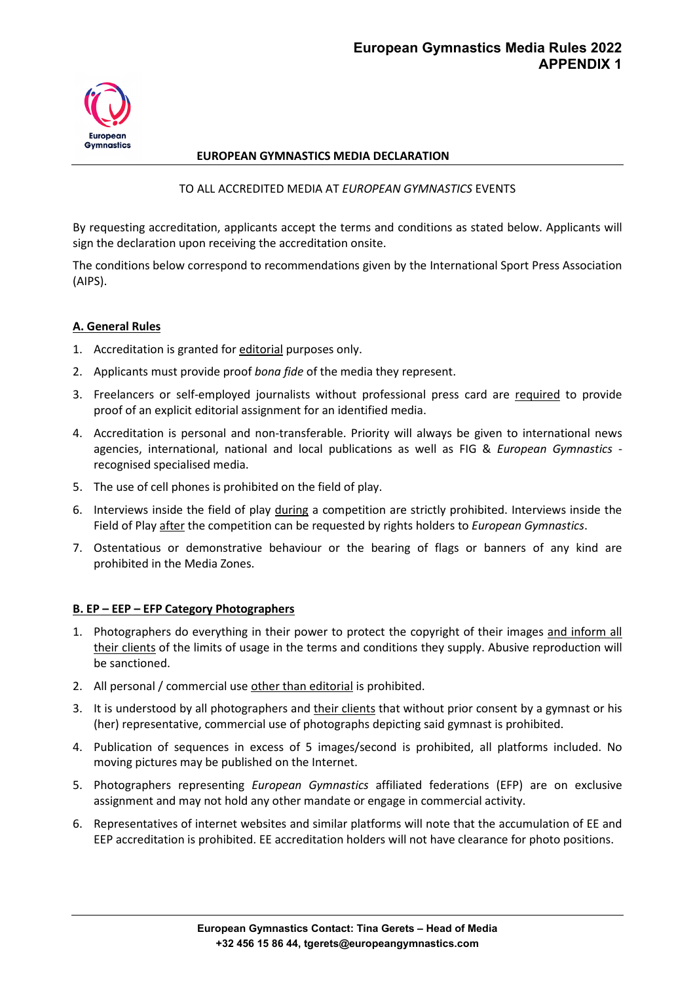

#### **EUROPEAN GYMNASTICS MEDIA DECLARATION**

#### TO ALL ACCREDITED MEDIA AT *EUROPEAN GYMNASTICS* EVENTS

By requesting accreditation, applicants accept the terms and conditions as stated below. Applicants will sign the declaration upon receiving the accreditation onsite.

The conditions below correspond to recommendations given by the International Sport Press Association (AIPS).

# **A. General Rules**

- 1. Accreditation is granted for editorial purposes only.
- 2. Applicants must provide proof *bona fide* of the media they represent.
- 3. Freelancers or self-employed journalists without professional press card are required to provide proof of an explicit editorial assignment for an identified media.
- 4. Accreditation is personal and non-transferable. Priority will always be given to international news agencies, international, national and local publications as well as FIG & *European Gymnastics* recognised specialised media.
- 5. The use of cell phones is prohibited on the field of play.
- 6. Interviews inside the field of play during a competition are strictly prohibited. Interviews inside the Field of Play after the competition can be requested by rights holders to *European Gymnastics*.
- 7. Ostentatious or demonstrative behaviour or the bearing of flags or banners of any kind are prohibited in the Media Zones.

### **B. EP – EEP – EFP Category Photographers**

- 1. Photographers do everything in their power to protect the copyright of their images and inform all their clients of the limits of usage in the terms and conditions they supply. Abusive reproduction will be sanctioned.
- 2. All personal / commercial use other than editorial is prohibited.
- 3. It is understood by all photographers and their clients that without prior consent by a gymnast or his (her) representative, commercial use of photographs depicting said gymnast is prohibited.
- 4. Publication of sequences in excess of 5 images/second is prohibited, all platforms included. No moving pictures may be published on the Internet.
- 5. Photographers representing *European Gymnastics* affiliated federations (EFP) are on exclusive assignment and may not hold any other mandate or engage in commercial activity.
- 6. Representatives of internet websites and similar platforms will note that the accumulation of EE and EEP accreditation is prohibited. EE accreditation holders will not have clearance for photo positions.